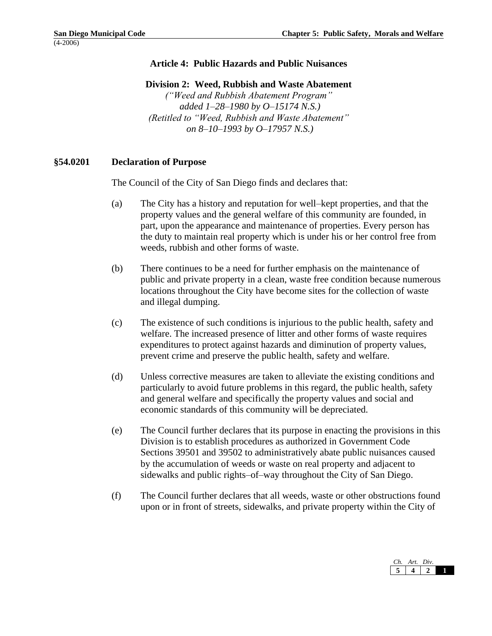## **Article 4: Public Hazards and Public Nuisances**

**Division 2: Weed, Rubbish and Waste Abatement**

*("Weed and Rubbish Abatement Program" added 1–28–1980 by O–15174 N.S.) (Retitled to "Weed, Rubbish and Waste Abatement" on 8–10–1993 by O–17957 N.S.)*

## **§54.0201 Declaration of Purpose**

The Council of the City of San Diego finds and declares that:

- (a) The City has a history and reputation for well–kept properties, and that the property values and the general welfare of this community are founded, in part, upon the appearance and maintenance of properties. Every person has the duty to maintain real property which is under his or her control free from weeds, rubbish and other forms of waste.
- (b) There continues to be a need for further emphasis on the maintenance of public and private property in a clean, waste free condition because numerous locations throughout the City have become sites for the collection of waste and illegal dumping.
- (c) The existence of such conditions is injurious to the public health, safety and welfare. The increased presence of litter and other forms of waste requires expenditures to protect against hazards and diminution of property values, prevent crime and preserve the public health, safety and welfare.
- (d) Unless corrective measures are taken to alleviate the existing conditions and particularly to avoid future problems in this regard, the public health, safety and general welfare and specifically the property values and social and economic standards of this community will be depreciated.
- (e) The Council further declares that its purpose in enacting the provisions in this Division is to establish procedures as authorized in Government Code Sections 39501 and 39502 to administratively abate public nuisances caused by the accumulation of weeds or waste on real property and adjacent to sidewalks and public rights–of–way throughout the City of San Diego.
- (f) The Council further declares that all weeds, waste or other obstructions found upon or in front of streets, sidewalks, and private property within the City of

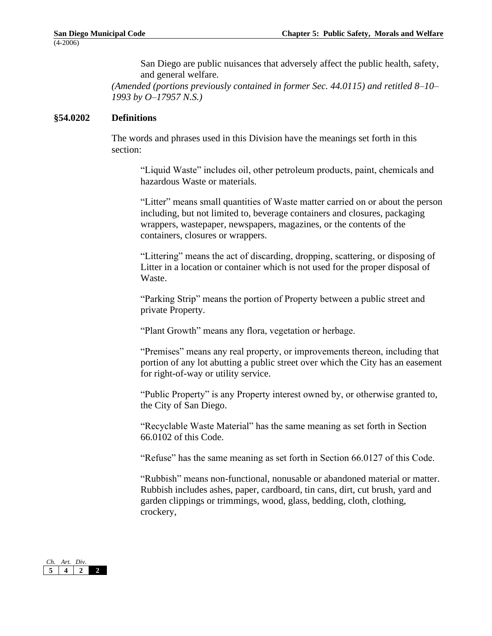San Diego are public nuisances that adversely affect the public health, safety, and general welfare.

*(Amended (portions previously contained in former Sec. 44.0115) and retitled 8–10– 1993 by O–17957 N.S.)*

#### **§54.0202 Definitions**

The words and phrases used in this Division have the meanings set forth in this section:

"Liquid Waste" includes oil, other petroleum products, paint, chemicals and hazardous Waste or materials.

"Litter" means small quantities of Waste matter carried on or about the person including, but not limited to, beverage containers and closures, packaging wrappers, wastepaper, newspapers, magazines, or the contents of the containers, closures or wrappers.

"Littering" means the act of discarding, dropping, scattering, or disposing of Litter in a location or container which is not used for the proper disposal of Waste.

"Parking Strip" means the portion of Property between a public street and private Property.

"Plant Growth" means any flora, vegetation or herbage.

"Premises" means any real property, or improvements thereon, including that portion of any lot abutting a public street over which the City has an easement for right-of-way or utility service.

"Public Property" is any Property interest owned by, or otherwise granted to, the City of San Diego.

"Recyclable Waste Material" has the same meaning as set forth in Section 66.0102 of this Code.

"Refuse" has the same meaning as set forth in Section 66.0127 of this Code.

"Rubbish" means non-functional, nonusable or abandoned material or matter. Rubbish includes ashes, paper, cardboard, tin cans, dirt, cut brush, yard and garden clippings or trimmings, wood, glass, bedding, cloth, clothing, crockery,

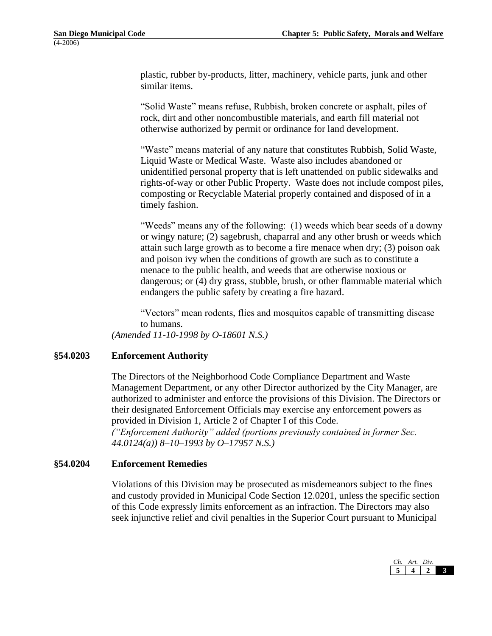plastic, rubber by-products, litter, machinery, vehicle parts, junk and other similar items.

"Solid Waste" means refuse, Rubbish, broken concrete or asphalt, piles of rock, dirt and other noncombustible materials, and earth fill material not otherwise authorized by permit or ordinance for land development.

"Waste" means material of any nature that constitutes Rubbish, Solid Waste, Liquid Waste or Medical Waste. Waste also includes abandoned or unidentified personal property that is left unattended on public sidewalks and rights-of-way or other Public Property. Waste does not include compost piles, composting or Recyclable Material properly contained and disposed of in a timely fashion.

"Weeds" means any of the following: (1) weeds which bear seeds of a downy or wingy nature; (2) sagebrush, chaparral and any other brush or weeds which attain such large growth as to become a fire menace when dry; (3) poison oak and poison ivy when the conditions of growth are such as to constitute a menace to the public health, and weeds that are otherwise noxious or dangerous; or (4) dry grass, stubble, brush, or other flammable material which endangers the public safety by creating a fire hazard.

"Vectors" mean rodents, flies and mosquitos capable of transmitting disease to humans.

*(Amended 11-10-1998 by O-18601 N.S.)*

## **§54.0203 Enforcement Authority**

The Directors of the Neighborhood Code Compliance Department and Waste Management Department, or any other Director authorized by the City Manager, are authorized to administer and enforce the provisions of this Division. The Directors or their designated Enforcement Officials may exercise any enforcement powers as provided in Division 1, Article 2 of Chapter I of this Code. *("Enforcement Authority" added (portions previously contained in former Sec.* 

*44.0124(a)) 8–10–1993 by O–17957 N.S.)*

#### **§54.0204 Enforcement Remedies**

Violations of this Division may be prosecuted as misdemeanors subject to the fines and custody provided in Municipal Code Section 12.0201, unless the specific section of this Code expressly limits enforcement as an infraction. The Directors may also seek injunctive relief and civil penalties in the Superior Court pursuant to Municipal

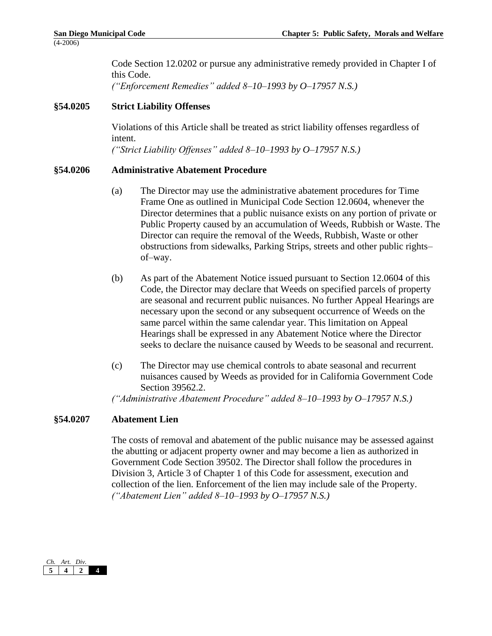Code Section 12.0202 or pursue any administrative remedy provided in Chapter I of this Code. *("Enforcement Remedies" added 8–10–1993 by O–17957 N.S.)*

## **§54.0205 Strict Liability Offenses**

Violations of this Article shall be treated as strict liability offenses regardless of intent. *("Strict Liability Offenses" added 8–10–1993 by O–17957 N.S.)*

### **§54.0206 Administrative Abatement Procedure**

- (a) The Director may use the administrative abatement procedures for Time Frame One as outlined in Municipal Code Section 12.0604, whenever the Director determines that a public nuisance exists on any portion of private or Public Property caused by an accumulation of Weeds, Rubbish or Waste. The Director can require the removal of the Weeds, Rubbish, Waste or other obstructions from sidewalks, Parking Strips, streets and other public rights– of–way.
- (b) As part of the Abatement Notice issued pursuant to Section 12.0604 of this Code, the Director may declare that Weeds on specified parcels of property are seasonal and recurrent public nuisances. No further Appeal Hearings are necessary upon the second or any subsequent occurrence of Weeds on the same parcel within the same calendar year. This limitation on Appeal Hearings shall be expressed in any Abatement Notice where the Director seeks to declare the nuisance caused by Weeds to be seasonal and recurrent.
- (c) The Director may use chemical controls to abate seasonal and recurrent nuisances caused by Weeds as provided for in California Government Code Section 39562.2.

*("Administrative Abatement Procedure" added 8–10–1993 by O–17957 N.S.)*

#### **§54.0207 Abatement Lien**

The costs of removal and abatement of the public nuisance may be assessed against the abutting or adjacent property owner and may become a lien as authorized in Government Code Section 39502. The Director shall follow the procedures in Division 3, Article 3 of Chapter 1 of this Code for assessment, execution and collection of the lien. Enforcement of the lien may include sale of the Property. *("Abatement Lien" added 8–10–1993 by O–17957 N.S.)*

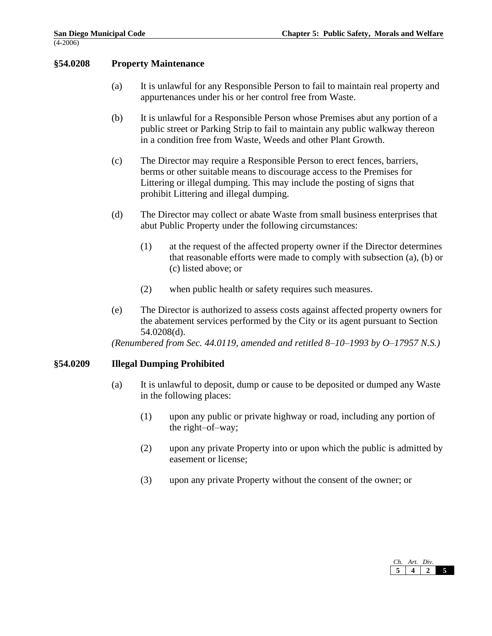## **§54.0208 Property Maintenance**

- (a) It is unlawful for any Responsible Person to fail to maintain real property and appurtenances under his or her control free from Waste.
- (b) It is unlawful for a Responsible Person whose Premises abut any portion of a public street or Parking Strip to fail to maintain any public walkway thereon in a condition free from Waste, Weeds and other Plant Growth.
- (c) The Director may require a Responsible Person to erect fences, barriers, berms or other suitable means to discourage access to the Premises for Littering or illegal dumping. This may include the posting of signs that prohibit Littering and illegal dumping.
- (d) The Director may collect or abate Waste from small business enterprises that abut Public Property under the following circumstances:
	- (1) at the request of the affected property owner if the Director determines that reasonable efforts were made to comply with subsection (a), (b) or (c) listed above; or
	- (2) when public health or safety requires such measures.
- (e) The Director is authorized to assess costs against affected property owners for the abatement services performed by the City or its agent pursuant to Section 54.0208(d).

*(Renumbered from Sec. 44.0119, amended and retitled 8–10–1993 by O–17957 N.S.)*

## **§54.0209 Illegal Dumping Prohibited**

- (a) It is unlawful to deposit, dump or cause to be deposited or dumped any Waste in the following places:
	- (1) upon any public or private highway or road, including any portion of the right–of–way;
	- (2) upon any private Property into or upon which the public is admitted by easement or license;
	- (3) upon any private Property without the consent of the owner; or

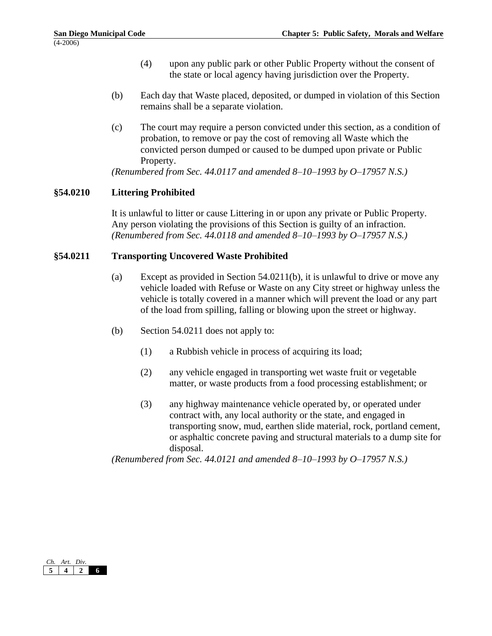- (4) upon any public park or other Public Property without the consent of the state or local agency having jurisdiction over the Property.
- (b) Each day that Waste placed, deposited, or dumped in violation of this Section remains shall be a separate violation.
- (c) The court may require a person convicted under this section, as a condition of probation, to remove or pay the cost of removing all Waste which the convicted person dumped or caused to be dumped upon private or Public Property.

*(Renumbered from Sec. 44.0117 and amended 8–10–1993 by O–17957 N.S.)*

# **§54.0210 Littering Prohibited**

It is unlawful to litter or cause Littering in or upon any private or Public Property. Any person violating the provisions of this Section is guilty of an infraction. *(Renumbered from Sec. 44.0118 and amended 8–10–1993 by O–17957 N.S.)*

## **§54.0211 Transporting Uncovered Waste Prohibited**

- (a) Except as provided in Section 54.0211(b), it is unlawful to drive or move any vehicle loaded with Refuse or Waste on any City street or highway unless the vehicle is totally covered in a manner which will prevent the load or any part of the load from spilling, falling or blowing upon the street or highway.
- (b) Section 54.0211 does not apply to:
	- (1) a Rubbish vehicle in process of acquiring its load;
	- (2) any vehicle engaged in transporting wet waste fruit or vegetable matter, or waste products from a food processing establishment; or
	- (3) any highway maintenance vehicle operated by, or operated under contract with, any local authority or the state, and engaged in transporting snow, mud, earthen slide material, rock, portland cement, or asphaltic concrete paving and structural materials to a dump site for disposal.

*(Renumbered from Sec. 44.0121 and amended 8–10–1993 by O–17957 N.S.)*